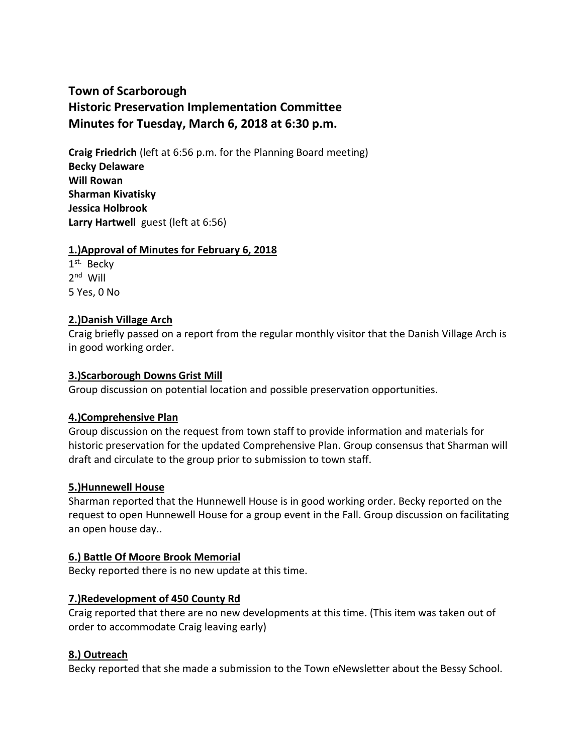# **Town of Scarborough Historic Preservation Implementation Committee Minutes for Tuesday, March 6, 2018 at 6:30 p.m.**

**Craig Friedrich** (left at 6:56 p.m. for the Planning Board meeting) **Becky Delaware Will Rowan Sharman Kivatisky Jessica Holbrook Larry Hartwell** guest (left at 6:56)

## **1.)Approval of Minutes for February 6, 2018**

1<sup>st.</sup> Becky 2<sup>nd</sup> Will 5 Yes, 0 No

# **2.)Danish Village Arch**

Craig briefly passed on a report from the regular monthly visitor that the Danish Village Arch is in good working order.

## **3.)Scarborough Downs Grist Mill**

Group discussion on potential location and possible preservation opportunities.

#### **4.)Comprehensive Plan**

Group discussion on the request from town staff to provide information and materials for historic preservation for the updated Comprehensive Plan. Group consensus that Sharman will draft and circulate to the group prior to submission to town staff.

#### **5.)Hunnewell House**

Sharman reported that the Hunnewell House is in good working order. Becky reported on the request to open Hunnewell House for a group event in the Fall. Group discussion on facilitating an open house day..

#### **6.) Battle Of Moore Brook Memorial**

Becky reported there is no new update at this time.

# **7.)Redevelopment of 450 County Rd**

Craig reported that there are no new developments at this time. (This item was taken out of order to accommodate Craig leaving early)

# **8.) Outreach**

Becky reported that she made a submission to the Town eNewsletter about the Bessy School.